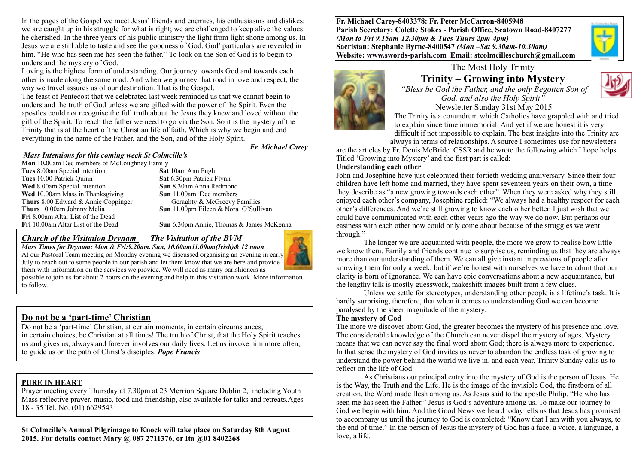In the pages of the Gospel we meet Jesus' friends and enemies, his enthusiasms and dislikes; we are caught up in his struggle for what is right; we are challenged to keep alive the values he cherished. In the three years of his public ministry the light from light shone among us. In Jesus we are still able to taste and see the goodness of God. God' particulars are revealed in him. "He who has seen me has seen the father." To look on the Son of God is to begin to understand the mystery of God.

Loving is the highest form of understanding. Our journey towards God and towards each other is made along the same road. And when we journey that road in love and respect, the way we travel assures us of our destination. That is the Gospel.

The feast of Pentecost that we celebrated last week reminded us that we cannot begin to understand the truth of God unless we are gifted with the power of the Spirit. Even the apostles could not recognise the full truth about the Jesus they knew and loved without the gift of the Spirit. To reach the father we need to go via the Son. So it is the mystery of the Trinity that is at the heart of the Christian life of faith. Which is why we begin and end everything in the name of the Father, and the Son, and of the Holy Spirit.

#### *Mass Intentions for this coming week St Colmcille's*

*Fr. Michael Carey*

**Mon** 10,00am Dec members of McLoughney Family **Tues** 8.00am Special intention **Sat** 10am Ann Pugh **Tues** 10.00 Patrick Quinn **Sat** 6.30pm Patrick Flynn **Wed** 8.00am Special Intention **Sun** 8.30am Anna Redmond **Wed** 10.00am Mass in Thanksgiving **Sun** 11.00am Dec members **Thurs** 8.00 Edward & Annie Coppinger Geraghty & McGreevy Families **Thurs** 10.00am Johnny Melia **Sun** 11.00pm Eileen & Nora O'Sullivan **Fri** 8.00am Altar List of the Dead **Fri** 10.00am Altar List of the Dead **Sun** 6.30pm Annie, Thomas & James McKenna

#### *Church of the Visitation Drynam**The Visitation of the BVM Mass Times for Drynam: Mon & Fri:9.20am. Sun, 10.00am11.00am(Irish)& 12 noon*



At our Pastoral Team meeting on Monday evening we discussed organising an evening in early July to reach out to some people in our parish and let them know that we are here and provide them with information on the services we provide. We will need as many parishioners as possible to join us for about 2 hours on the evening and help in this visitation work. More information to follow.

### **Do not be a 'part-time' Christian**

Do not be a 'part-time' Christian, at certain moments, in certain circumstances, in certain choices, be Christian at all times! The truth of Christ, that the Holy Spirit teaches us and gives us, always and forever involves our daily lives. Let us invoke him more often, to guide us on the path of Christ's disciples. *Pope Francis*

#### **PURE IN HEART**

Prayer meeting every Thursday at 7.30pm at 23 Merrion Square Dublin 2, including Youth Mass reflective prayer, music, food and friendship, also available for talks and retreats.Ages 18 - 35 Tel. No. (01) 6629543

**St Colmcille's Annual Pilgrimage to Knock will take place on Saturday 8th August 2015. For details contact Mary @ 087 2711376, or Ita @01 8402268** 

**Fr. Michael Carey-8403378: Fr. Peter McCarron-8405948 Parish Secretary: Colette Stokes - Parish Office, Seatown Road-8407277**  *(Mon to Fri 9.15am-12.30pm & Tues-Thurs 2pm-4pm)*  **Sacristan: Stephanie Byrne-8400547** *(Mon –Sat 9.30am-10.30am)* **Website: [www.swords-parish.com Email](http://www.swords-parish.com%20%20email): stcolmcilleschurch@gmail.com**



### The Most Holy Trinity **Trinity – Growing into Mystery**



 *"Bless be God the Father, and the only Begotten Son of God, and also the Holy Spirit"*  Newsletter Sunday 31st May 2015

The Trinity is a conundrum which Catholics have grappled with and tried to explain since time immemorial. And yet if we are honest it is very difficult if not impossible to explain. The best insights into the Trinity are always in terms of relationships. A source I sometimes use for newsletters

are the articles by Fr. Denis McBride CSSR and he wrote the following which I hope helps. Titled 'Growing into Mystery' and the first part is called:

#### **Understanding each other**

John and Josephine have just celebrated their fortieth wedding anniversary. Since their four children have left home and married, they have spent seventeen years on their own, a time they describe as "a new growing towards each other". When they were asked why they still enjoyed each other's company, Josephine replied: "We always had a healthy respect for each other's differences. And we're still growing to know each other better. I just wish that we could have communicated with each other years ago the way we do now. But perhaps our easiness with each other now could only come about because of the struggles we went through."

The longer we are acquainted with people, the more we grow to realise how little we know them. Family and friends continue to surprise us, reminding us that they are always more than our understanding of them. We can all give instant impressions of people after knowing them for only a week, but if we're honest with ourselves we have to admit that our clarity is born of ignorance. We can have epic conversations about a new acquaintance, but the lengthy talk is mostly guesswork, makeshift images built from a few clues.

Unless we settle for stereotypes, understanding other people is a lifetime's task. It is hardly surprising, therefore, that when it comes to understanding God we can become paralysed by the sheer magnitude of the mystery.

#### **The mystery of God**

The more we discover about God, the greater becomes the mystery of his presence and love. The considerable knowledge of the Church can never dispel the mystery of ages. Mystery means that we can never say the final word about God; there is always more to experience. In that sense the mystery of God invites us never to abandon the endless task of growing to understand the power behind the world we live in. and each year, Trinity Sunday calls us to reflect on the life of God.

As Christians our principal entry into the mystery of God is the person of Jesus. He is the Way, the Truth and the Life. He is the image of the invisible God, the firstborn of all creation, the Word made flesh among us. As Jesus said to the apostle Philip. "He who has seen me has seen the Father." Jesus is God's adventure among us. To make our journey to God we begin with him. And the Good News we heard today tells us that Jesus has promised to accompany us until the journey to God is completed: "Know that I am with you always, to the end of time." In the person of Jesus the mystery of God has a face, a voice, a language, a love, a life.